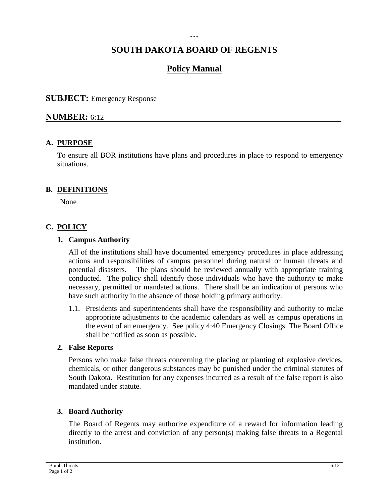#### **```**

# **SOUTH DAKOTA BOARD OF REGENTS**

# **Policy Manual**

### **SUBJECT:** Emergency Response

### **NUMBER:** 6:12

### **A. PURPOSE**

To ensure all BOR institutions have plans and procedures in place to respond to emergency situations.

#### **B. DEFINITIONS**

None

## **C. POLICY**

#### **1. Campus Authority**

All of the institutions shall have documented emergency procedures in place addressing actions and responsibilities of campus personnel during natural or human threats and potential disasters. The plans should be reviewed annually with appropriate training conducted. The policy shall identify those individuals who have the authority to make necessary, permitted or mandated actions. There shall be an indication of persons who have such authority in the absence of those holding primary authority.

1.1. Presidents and superintendents shall have the responsibility and authority to make appropriate adjustments to the academic calendars as well as campus operations in the event of an emergency. See policy 4:40 Emergency Closings. The Board Office shall be notified as soon as possible.

#### **2. False Reports**

Persons who make false threats concerning the placing or planting of explosive devices, chemicals, or other dangerous substances may be punished under the criminal statutes of South Dakota. Restitution for any expenses incurred as a result of the false report is also mandated under statute.

#### **3. Board Authority**

The Board of Regents may authorize expenditure of a reward for information leading directly to the arrest and conviction of any person(s) making false threats to a Regental institution.